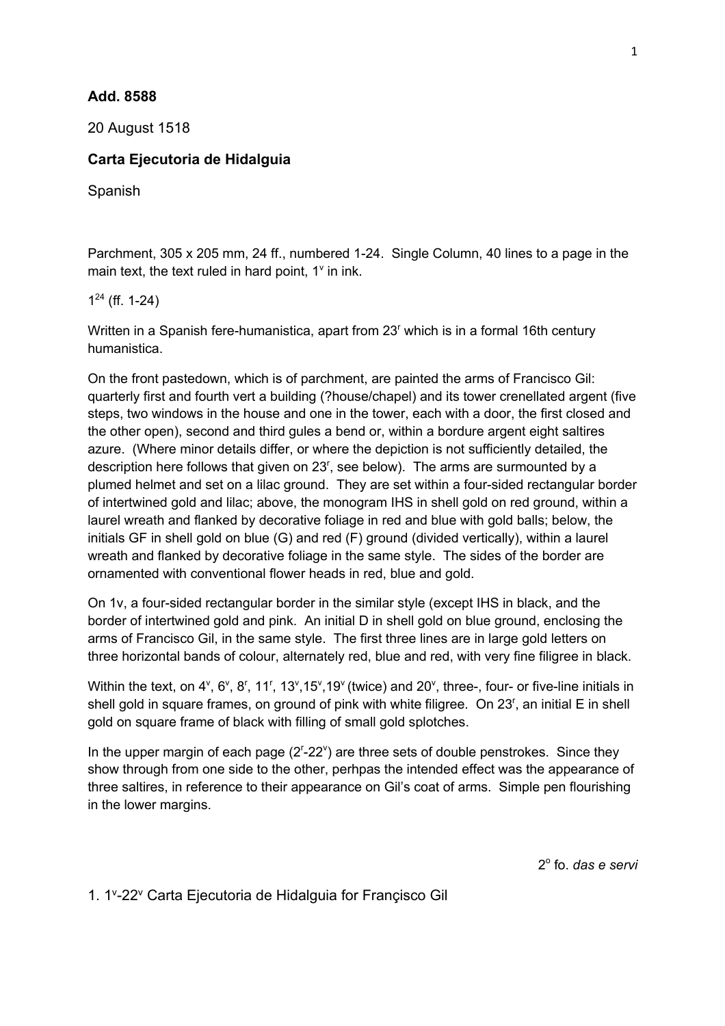## **Add. 8588**

20 August 1518

## **Carta Ejecutoria de Hidalguia**

Spanish

Parchment, 305 x 205 mm, 24 ff., numbered 1-24. Single Column, 40 lines to a page in the main text, the text ruled in hard point,  $1^{\circ}$  in ink.

 $1^{24}$  (ff. 1-24)

Written in a Spanish fere-humanistica, apart from 23<sup>r</sup> which is in a formal 16th century humanistica.

On the front pastedown, which is of parchment, are painted the arms of Francisco Gil: quarterly first and fourth vert a building (?house/chapel) and its tower crenellated argent (five steps, two windows in the house and one in the tower, each with a door, the first closed and the other open), second and third gules a bend or, within a bordure argent eight saltires azure. (Where minor details differ, or where the depiction is not sufficiently detailed, the description here follows that given on  $23<sup>r</sup>$ , see below). The arms are surmounted by a plumed helmet and set on a lilac ground. They are set within a four-sided rectangular border of intertwined gold and lilac; above, the monogram IHS in shell gold on red ground, within a laurel wreath and flanked by decorative foliage in red and blue with gold balls; below, the initials GF in shell gold on blue (G) and red (F) ground (divided vertically), within a laurel wreath and flanked by decorative foliage in the same style. The sides of the border are ornamented with conventional flower heads in red, blue and gold.

On 1v, a four-sided rectangular border in the similar style (except IHS in black, and the border of intertwined gold and pink. An initial D in shell gold on blue ground, enclosing the arms of Francisco Gil, in the same style. The first three lines are in large gold letters on three horizontal bands of colour, alternately red, blue and red, with very fine filigree in black.

Within the text, on  $4^{\vee}$ , 6°, 8<sup>r</sup>, 11<sup>r</sup>, 13°, 15°, 19° (twice) and 20°, three-, four- or five-line initials in shell gold in square frames, on ground of pink with white filigree. On 23<sup>r</sup>, an initial E in shell gold on square frame of black with filling of small gold splotches.

In the upper margin of each page  $(2^{r}-22^{v})$  are three sets of double penstrokes. Since they show through from one side to the other, perhpas the intended effect was the appearance of three saltires, in reference to their appearance on Gil's coat of arms. Simple pen flourishing in the lower margins.

2o fo. *das e servi*

1. 1v -22v Carta Ejecutoria de Hidalguia for Françisco Gil